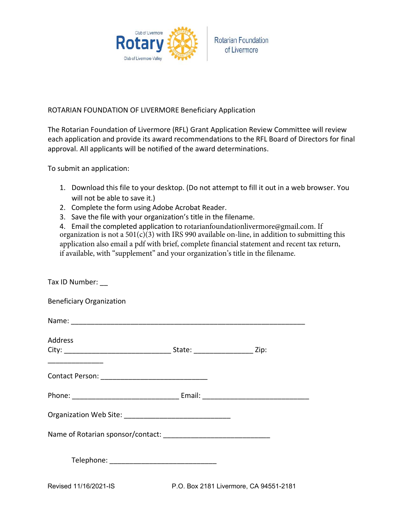

## ROTARIAN FOUNDATION OF LIVERMORE Beneficiary Application

The Rotarian Foundation of Livermore (RFL) Grant Application Review Committee will review each application and provide its award recommendations to the RFL Board of Directors for final approval. All applicants will be notified of the award determinations.

To submit an application:

- 1. Download this file to your desktop. (Do not attempt to fill it out in a web browser. You will not be able to save it.)
- 2. Complete the form using Adobe Acrobat Reader.
- 3. Save the file with your organization's title in the filename.

4. Email the completed application to rotarianfoundationlivermore@gmail.com. If organization is not a  $501(c)(3)$  with IRS 990 available on-line, in addition to submitting this application also email a pdf with brief, complete financial statement and recent tax return, if available, with "supplement" and your organization's title in the filename.

| Tax ID Number: __               |                                        |  |
|---------------------------------|----------------------------------------|--|
| <b>Beneficiary Organization</b> |                                        |  |
|                                 |                                        |  |
| <b>Address</b>                  |                                        |  |
|                                 |                                        |  |
|                                 |                                        |  |
|                                 |                                        |  |
|                                 |                                        |  |
|                                 |                                        |  |
|                                 |                                        |  |
| Revised 11/16/2021-IS           | P.O. Box 2181 Livermore, CA 94551-2181 |  |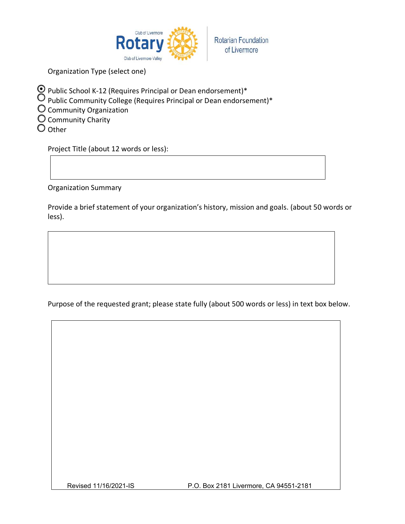

Organization Type (select one)

- Public School K-12 (Requires Principal or Dean endorsement)\*
- $\bigcirc$  Public Community College (Requires Principal or Dean endorsement)\*
- $\bigcirc$  Community Organization
- O Community Charity
- $\bigcirc$  Other

Project Title (about 12 words or less):

**Organization Summary** 

Provide a brief statement of your organization's history, mission and goals. (about 50 words or less).

Purpose of the requested grant; please state fully (about 500 words or less) in text box below.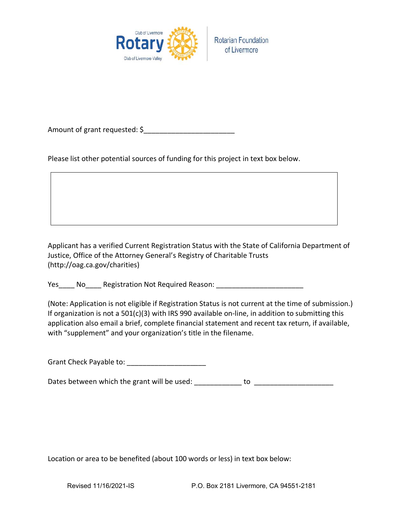

Amount of grant requested: \$

Please list other potential sources of funding for this project in text box below.

Applicant has a verified Current Registration Status with the State of California Department of Justice, Office of the Attorney General's Registry of Charitable Trusts (http://oag.ca.gov/charities)

(Note: Application is not eligible if Registration Status is not current at the time of submission.) If organization is not a  $501(c)(3)$  with IRS 990 available on-line, in addition to submitting this application also email a brief, complete financial statement and recent tax return, if available, with "supplement" and your organization's title in the filename.

Grant Check Payable to: \_\_\_\_\_\_\_\_\_\_\_\_\_\_\_\_\_\_\_\_\_

Dates between which the grant will be used: \_\_\_\_\_\_\_\_\_\_\_\_ to \_\_\_\_\_\_\_\_\_\_\_\_\_\_\_\_\_\_\_\_

Location or area to be benefited (about 100 words or less) in text box below: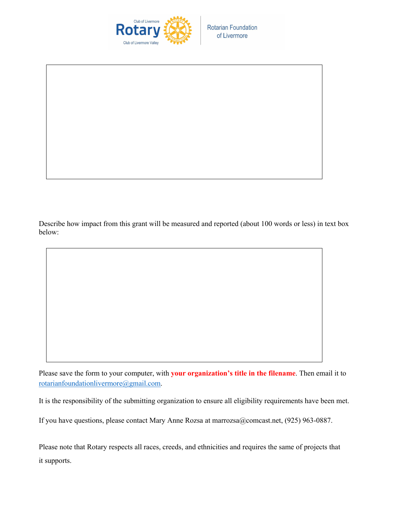

Describe how impact from this grant will be measured and reported (about 100 words or less) in text box below:

Please save the form to your computer, with **your organization's title in the filename**. Then email it to rotarianfoundationlivermore@gmail.com.

It is the responsibility of the submitting organization to ensure all eligibility requirements have been met.

If you have questions, please contact Mary Anne Rozsa at marrozsa@comcast.net, (925) 963-0887.

Please note that Rotary respects all races, creeds, and ethnicities and requires the same of projects that it supports.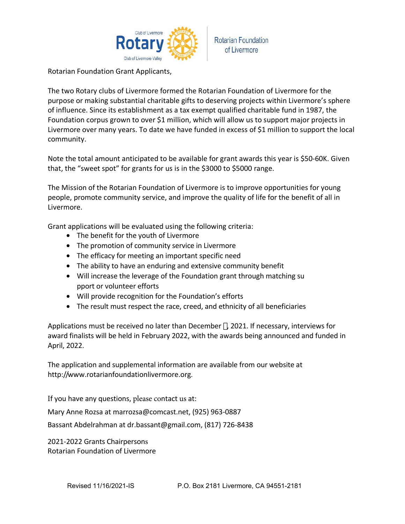

**Rotarian Foundation** of Livermore

Rotarian Foundation Grant Applicants,

The two Rotary clubs of Livermore formed the Rotarian Foundation of Livermore for the purpose or making substantial charitable gifts to deserving projects within Livermore's sphere of influence. Since its establishment as a tax exempt qualified charitable fund in 1987, the Foundation corpus grown to over \$1 million, which will allow us to support major projects in Livermore over many years. To date we have funded in excess of \$1 million to support the local community.

Note the total amount anticipated to be available for grant awards this year is \$50-60K. Given that, the "sweet spot" for grants for us is in the \$3000 to \$5000 range.

The Mission of the Rotarian Foundation of Livermore is to improve opportunities for young people, promote community service, and improve the quality of life for the benefit of all in Livermore.

Grant applications will be evaluated using the following criteria:

- The benefit for the youth of Livermore
- The promotion of community service in Livermore
- The efficacy for meeting an important specific need
- The ability to have an enduring and extensive community benefit
- Will increase the leverage of the Foundation grant through matching su pport or volunteer efforts
- Will provide recognition for the Foundation's efforts
- The result must respect the race, creed, and ethnicity of all beneficiaries

Applications must be received no later than December \*, 2021. If necessary, interviews for award finalists will be held in February 2022, with the awards being announced and funded in April, 2022.

The application and supplemental information are available from our website at http://www.rotarianfoundationlivermore.org.

If you have any questions, please contact us at:

Mary Anne Rozsa at marrozsa@comcast.net, (925) 963-0887

Bassant Abdelrahman at dr.bassant@gmail.com, (817) 726-8438

2021-2022 Grants Chairpersons **Rotarian Foundation of Livermore**